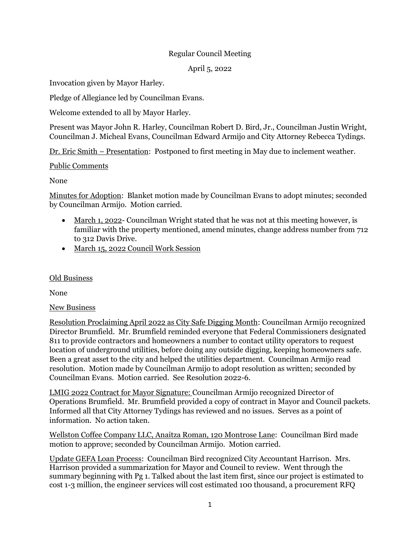# Regular Council Meeting

## April 5, 2022

Invocation given by Mayor Harley.

Pledge of Allegiance led by Councilman Evans.

Welcome extended to all by Mayor Harley.

Present was Mayor John R. Harley, Councilman Robert D. Bird, Jr., Councilman Justin Wright, Councilman J. Micheal Evans, Councilman Edward Armijo and City Attorney Rebecca Tydings.

Dr. Eric Smith – Presentation: Postponed to first meeting in May due to inclement weather.

## Public Comments

None

Minutes for Adoption: Blanket motion made by Councilman Evans to adopt minutes; seconded by Councilman Armijo. Motion carried.

- March 1, 2022- Councilman Wright stated that he was not at this meeting however, is familiar with the property mentioned, amend minutes, change address number from 712 to 312 Davis Drive.
- March 15, 2022 Council Work Session

## Old Business

None

## New Business

Resolution Proclaiming April 2022 as City Safe Digging Month: Councilman Armijo recognized Director Brumfield. Mr. Brumfield reminded everyone that Federal Commissioners designated 811 to provide contractors and homeowners a number to contact utility operators to request location of underground utilities, before doing any outside digging, keeping homeowners safe. Been a great asset to the city and helped the utilities department. Councilman Armijo read resolution. Motion made by Councilman Armijo to adopt resolution as written; seconded by Councilman Evans. Motion carried. See Resolution 2022-6.

LMIG 2022 Contract for Mayor Signature: Councilman Armijo recognized Director of Operations Brumfield. Mr. Brumfield provided a copy of contract in Mayor and Council packets. Informed all that City Attorney Tydings has reviewed and no issues. Serves as a point of information. No action taken.

Wellston Coffee Company LLC, Anaitza Roman, 120 Montrose Lane: Councilman Bird made motion to approve; seconded by Councilman Armijo. Motion carried.

Update GEFA Loan Process: Councilman Bird recognized City Accountant Harrison. Mrs. Harrison provided a summarization for Mayor and Council to review. Went through the summary beginning with Pg 1. Talked about the last item first, since our project is estimated to cost 1-3 million, the engineer services will cost estimated 100 thousand, a procurement RFQ